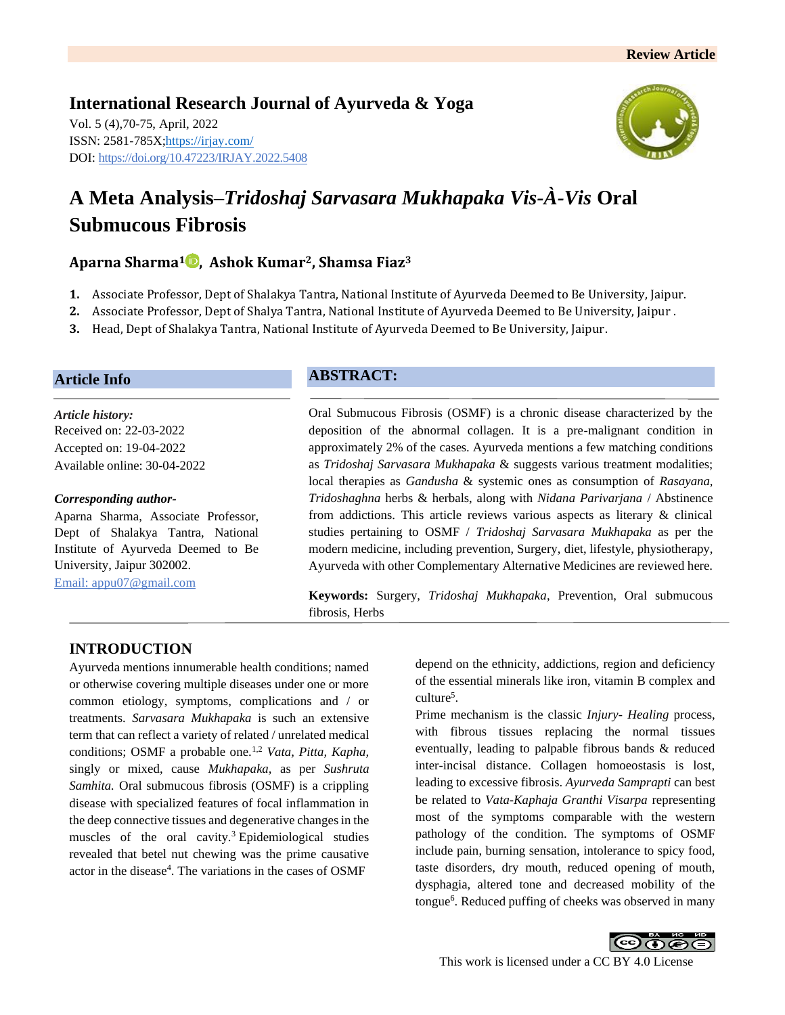**International Research Journal of Ayurveda & Yoga** Vol. 5 (4),70-75, April, 2022 ISSN: 2581-785X[; https://irjay.com/](https://irjay.com/) DOI: https://doi.org/10.47223/IRJAY.2022.5408



# **A Meta Analysis–***Tridoshaj Sarvasara Mukhapaka Vis-À-Vis* **Oral Submucous Fibrosis**

# **Aparna Sharma<sup>1</sup> , Ashok Kumar2, Shamsa Fiaz<sup>3</sup>**

- **1.** Associate Professor, Dept of Shalakya Tantra, National Institute of Ayurveda Deemed to Be University, Jaipur.
- **2.** Associate Professor, Dept of Shalya Tantra, National Institute of Ayurveda Deemed to Be University, Jaipur .
- **3.** Head, Dept of Shalakya Tantra, National Institute of Ayurveda Deemed to Be University, Jaipur.

### **Article Info**

*Article history:* Received on: 22-03-2022 Accepted on: 19-04-2022 Available online: 30-04-2022

#### *Corresponding author-*

Aparna Sharma, Associate Professor, Dept of Shalakya Tantra, National Institute of Ayurveda Deemed to Be University, Jaipur 302002. Email: appu07@gmail.com

#### **ABSTRACT:**

Oral Submucous Fibrosis (OSMF) is a chronic disease characterized by the deposition of the abnormal collagen. It is a pre-malignant condition in approximately 2% of the cases. Ayurveda mentions a few matching conditions as *Tridoshaj Sarvasara Mukhapaka* & suggests various treatment modalities; local therapies as *Gandusha* & systemic ones as consumption of *Rasayana, Tridoshaghna* herbs & herbals, along with *Nidana Parivarjana* / Abstinence from addictions. This article reviews various aspects as literary & clinical studies pertaining to OSMF / *Tridoshaj Sarvasara Mukhapaka* as per the modern medicine, including prevention, Surgery, diet, lifestyle, physiotherapy, Ayurveda with other Complementary Alternative Medicines are reviewed here.

**Keywords:** Surgery, *Tridoshaj Mukhapaka*, Prevention, Oral submucous fibrosis, Herbs

# **INTRODUCTION**

Ayurveda mentions innumerable health conditions; named or otherwise covering multiple diseases under one or more common etiology, symptoms, complications and / or treatments. *Sarvasara Mukhapaka* is such an extensive term that can reflect a variety of related / unrelated medical conditions; OSMF a probable one.1,2 *Vata, Pitta, Kapha,* singly or mixed, cause *Mukhapaka,* as per *Sushruta Samhita.* Oral submucous fibrosis (OSMF) is a crippling disease with specialized features of focal inflammation in the deep connective tissues and degenerative changes in the muscles of the oral cavity.<sup>3</sup> Epidemiological studies revealed that betel nut chewing was the prime causative actor in the disease<sup>4</sup>. The variations in the cases of OSMF

depend on the ethnicity, addictions, region and deficiency of the essential minerals like iron, vitamin B complex and culture<sup>5</sup>.

Prime mechanism is the classic *Injury- Healing* process, with fibrous tissues replacing the normal tissues eventually, leading to palpable fibrous bands & reduced inter-incisal distance. Collagen homoeostasis is lost, leading to excessive fibrosis. *Ayurveda Samprapti* can best be related to *Vata-Kaphaja Granthi Visarpa* representing most of the symptoms comparable with the western pathology of the condition. The symptoms of OSMF include pain, burning sensation, intolerance to spicy food, taste disorders, dry mouth, reduced opening of mouth, dysphagia, altered tone and decreased mobility of the tongue<sup>6</sup>. Reduced puffing of cheeks was observed in many

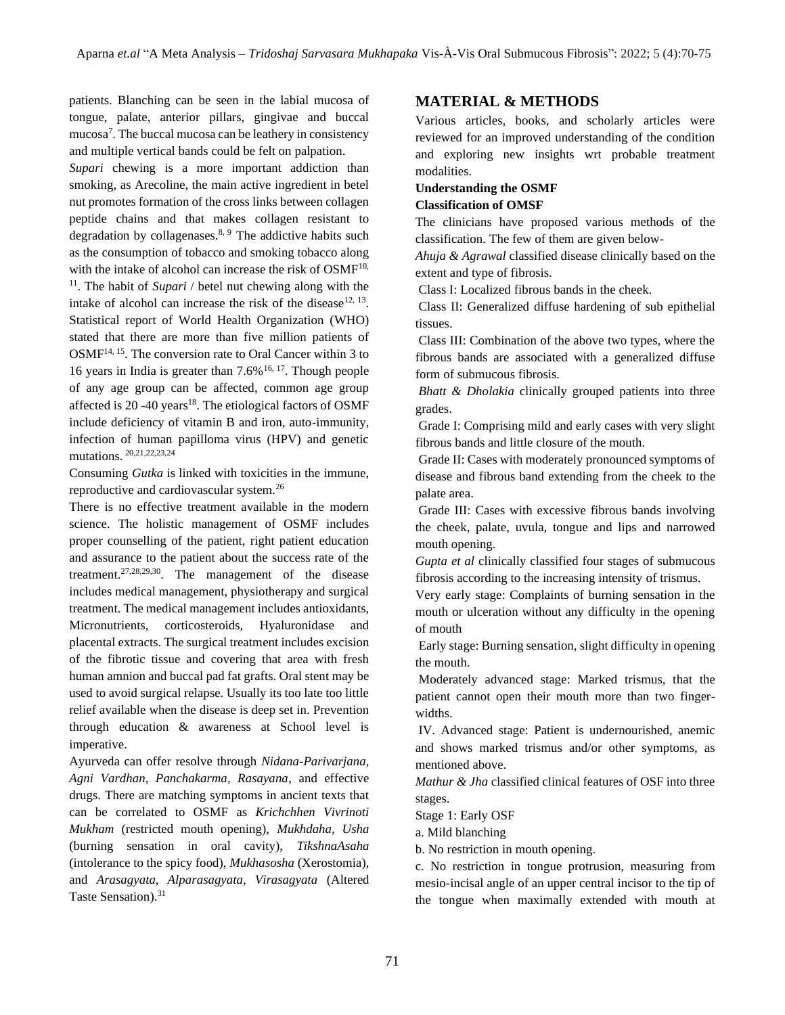patients. Blanching can be seen in the labial mucosa of tongue, palate, anterior pillars, gingivae and buccal mucosa<sup>7</sup> . The buccal mucosa can be leathery in consistency and multiple vertical bands could be felt on palpation.

*Supari* chewing is a more important addiction than smoking, as Arecoline, the main active ingredient in betel nut promotes formation of the cross links between collagen peptide chains and that makes collagen resistant to degradation by collagenases. $8, 9$  The addictive habits such as the consumption of tobacco and smoking tobacco along with the intake of alcohol can increase the risk of  $OSMF<sup>10</sup>$ , <sup>11</sup>. The habit of *Supari* / betel nut chewing along with the intake of alcohol can increase the risk of the disease<sup>12, 13</sup>. Statistical report of World Health Organization (WHO) stated that there are more than five million patients of OSMF14, 15. The conversion rate to Oral Cancer within 3 to 16 years in India is greater than  $7.6\%$  <sup>16, 17</sup>. Though people of any age group can be affected, common age group affected is  $20 - 40$  years<sup>18</sup>. The etiological factors of OSMF include deficiency of vitamin B and iron, auto-immunity, infection of human papilloma virus (HPV) and genetic mutations. 20,21,22,23,24

Consuming *Gutka* is linked with toxicities in the immune, reproductive and cardiovascular system.<sup>26</sup>

There is no effective treatment available in the modern science. The holistic management of OSMF includes proper counselling of the patient, right patient education and assurance to the patient about the success rate of the treatment.27,28,29,30. The management of the disease includes medical management, physiotherapy and surgical treatment. The medical management includes antioxidants, Micronutrients, corticosteroids, Hyaluronidase and placental extracts. The surgical treatment includes excision of the fibrotic tissue and covering that area with fresh human amnion and buccal pad fat grafts. Oral stent may be used to avoid surgical relapse. Usually its too late too little relief available when the disease is deep set in. Prevention through education & awareness at School level is imperative.

Ayurveda can offer resolve through *Nidana-Parivarjana, Agni Vardhan, Panchakarma, Rasayana*, and effective drugs. There are matching symptoms in ancient texts that can be correlated to OSMF as *Krichchhen Vivrinoti Mukham* (restricted mouth opening), *Mukhdaha, Usha* (burning sensation in oral cavity), *TikshnaAsaha*  (intolerance to the spicy food), *Mukhasosha* (Xerostomia), and *Arasagyata, Alparasagyata, Virasagyata* (Altered Taste Sensation).<sup>31</sup>

## **MATERIAL & METHODS**

Various articles, books, and scholarly articles were reviewed for an improved understanding of the condition and exploring new insights wrt probable treatment modalities.

#### **Understanding the OSMF**

#### **Classification of OMSF**

The clinicians have proposed various methods of the classification. The few of them are given below-

*Ahuja & Agrawal* classified disease clinically based on the extent and type of fibrosis.

Class I: Localized fibrous bands in the cheek.

Class II: Generalized diffuse hardening of sub epithelial tissues.

Class III: Combination of the above two types, where the fibrous bands are associated with a generalized diffuse form of submucous fibrosis.

*Bhatt & Dholakia* clinically grouped patients into three grades.

Grade I: Comprising mild and early cases with very slight fibrous bands and little closure of the mouth.

Grade II: Cases with moderately pronounced symptoms of disease and fibrous band extending from the cheek to the palate area.

Grade III: Cases with excessive fibrous bands involving the cheek, palate, uvula, tongue and lips and narrowed mouth opening.

*Gupta et al* clinically classified four stages of submucous fibrosis according to the increasing intensity of trismus.

Very early stage: Complaints of burning sensation in the mouth or ulceration without any difficulty in the opening of mouth

Early stage: Burning sensation, slight difficulty in opening the mouth.

Moderately advanced stage: Marked trismus, that the patient cannot open their mouth more than two fingerwidths.

IV. Advanced stage: Patient is undernourished, anemic and shows marked trismus and/or other symptoms, as mentioned above.

*Mathur & Jha* classified clinical features of OSF into three stages.

Stage 1: Early OSF

a. Mild blanching

b. No restriction in mouth opening.

c. No restriction in tongue protrusion, measuring from mesio-incisal angle of an upper central incisor to the tip of the tongue when maximally extended with mouth at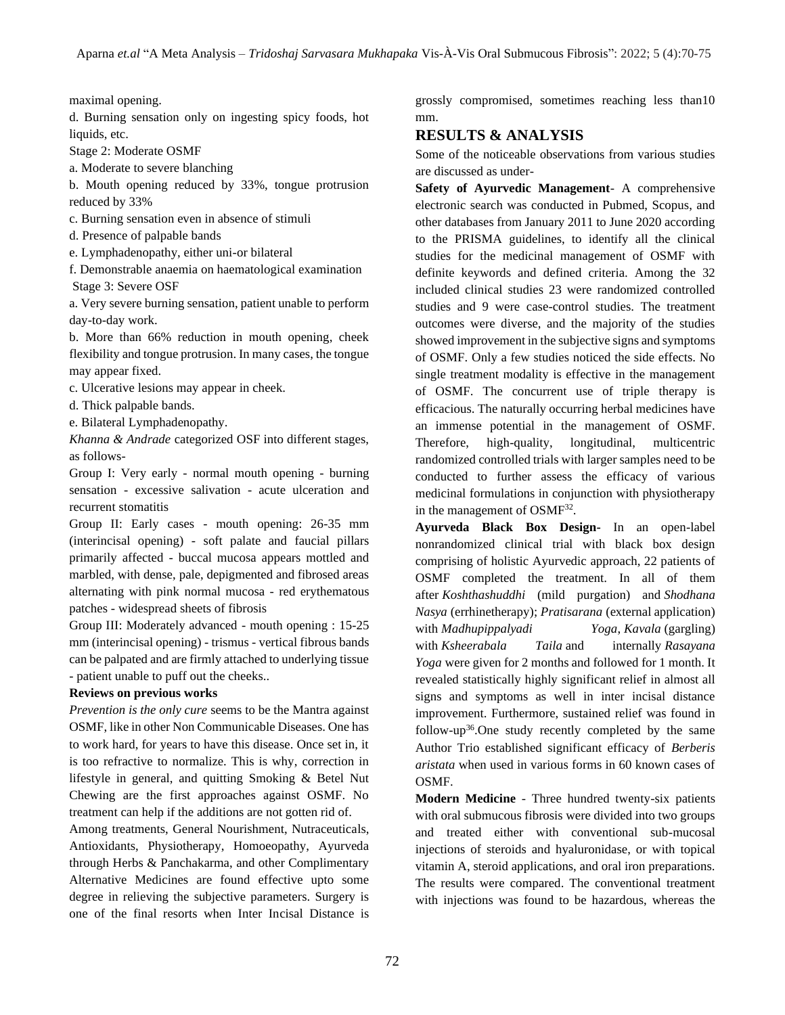maximal opening.

d. Burning sensation only on ingesting spicy foods, hot liquids, etc.

Stage 2: Moderate OSMF

a. Moderate to severe blanching

b. Mouth opening reduced by 33%, tongue protrusion reduced by 33%

c. Burning sensation even in absence of stimuli

d. Presence of palpable bands

e. Lymphadenopathy, either uni-or bilateral

f. Demonstrable anaemia on haematological examination Stage 3: Severe OSF

a. Very severe burning sensation, patient unable to perform day-to-day work.

b. More than 66% reduction in mouth opening, cheek flexibility and tongue protrusion. In many cases, the tongue may appear fixed.

c. Ulcerative lesions may appear in cheek.

d. Thick palpable bands.

e. Bilateral Lymphadenopathy.

*Khanna & Andrade* categorized OSF into different stages, as follows-

Group I: Very early - normal mouth opening - burning sensation - excessive salivation - acute ulceration and recurrent stomatitis

Group II: Early cases - mouth opening: 26-35 mm (interincisal opening) - soft palate and faucial pillars primarily affected - buccal mucosa appears mottled and marbled, with dense, pale, depigmented and fibrosed areas alternating with pink normal mucosa - red erythematous patches - widespread sheets of fibrosis

Group III: Moderately advanced - mouth opening : 15-25 mm (interincisal opening) - trismus - vertical fibrous bands can be palpated and are firmly attached to underlying tissue - patient unable to puff out the cheeks..

#### **Reviews on previous works**

*Prevention is the only cure* seems to be the Mantra against OSMF, like in other Non Communicable Diseases. One has to work hard, for years to have this disease. Once set in, it is too refractive to normalize. This is why, correction in lifestyle in general, and quitting Smoking & Betel Nut Chewing are the first approaches against OSMF. No treatment can help if the additions are not gotten rid of.

Among treatments, General Nourishment, Nutraceuticals, Antioxidants, Physiotherapy, Homoeopathy, Ayurveda through Herbs & Panchakarma, and other Complimentary Alternative Medicines are found effective upto some degree in relieving the subjective parameters. Surgery is one of the final resorts when Inter Incisal Distance is

grossly compromised, sometimes reaching less than10 mm.

## **RESULTS & ANALYSIS**

Some of the noticeable observations from various studies are discussed as under-

**Safety of Ayurvedic Management**- A comprehensive electronic search was conducted in Pubmed, Scopus, and other databases from January 2011 to June 2020 according to the PRISMA guidelines, to identify all the clinical studies for the medicinal management of OSMF with definite keywords and defined criteria. Among the 32 included clinical studies 23 were randomized controlled studies and 9 were case-control studies. The treatment outcomes were diverse, and the majority of the studies showed improvement in the subjective signs and symptoms of OSMF. Only a few studies noticed the side effects. No single treatment modality is effective in the management of OSMF. The concurrent use of triple therapy is efficacious. The naturally occurring herbal medicines have an immense potential in the management of OSMF. Therefore, high-quality, longitudinal, multicentric randomized controlled trials with larger samples need to be conducted to further assess the efficacy of various medicinal formulations in conjunction with physiotherapy in the management of  $OSMF^{32}$ .

**Ayurveda Black Box Design-** In an open-label nonrandomized clinical trial with black box design comprising of holistic Ayurvedic approach, 22 patients of OSMF completed the treatment. In all of them after *Koshthashuddhi* (mild purgation) and *Shodhana Nasya* (errhinetherapy); *Pratisarana* (external application) with *Madhupippalyadi Yoga*, *Kavala* (gargling) with *Ksheerabala Taila* and internally *Rasayana Yoga* were given for 2 months and followed for 1 month. It revealed statistically highly significant relief in almost all signs and symptoms as well in inter incisal distance improvement. Furthermore, sustained relief was found in follow-up<sup>36</sup>. One study recently completed by the same Author Trio established significant efficacy of *Berberis aristata* when used in various forms in 60 known cases of OSMF.

**Modern Medicine** - Three hundred twenty-six patients with oral submucous fibrosis were divided into two groups and treated either with conventional sub-mucosal injections of steroids and hyaluronidase, or with topical vitamin A, steroid applications, and oral iron preparations. The results were compared. The conventional treatment with injections was found to be hazardous, whereas the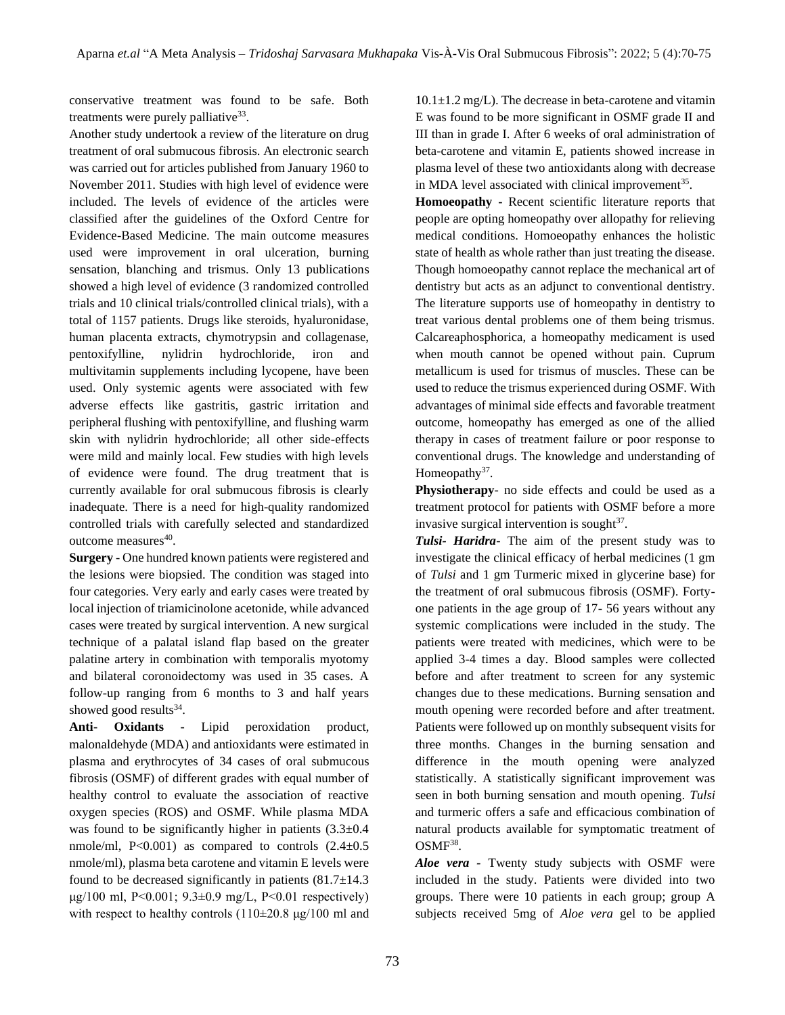conservative treatment was found to be safe. Both treatments were purely palliative<sup>33</sup>.

Another study undertook a review of the literature on drug treatment of oral submucous fibrosis. An electronic search was carried out for articles published from January 1960 to November 2011. Studies with high level of evidence were included. The levels of evidence of the articles were classified after the guidelines of the Oxford Centre for Evidence-Based Medicine. The main outcome measures used were improvement in oral ulceration, burning sensation, blanching and trismus. Only 13 publications showed a high level of evidence (3 randomized controlled trials and 10 clinical trials/controlled clinical trials), with a total of 1157 patients. Drugs like steroids, hyaluronidase, human placenta extracts, chymotrypsin and collagenase, pentoxifylline, nylidrin hydrochloride, iron and multivitamin supplements including lycopene, have been used. Only systemic agents were associated with few adverse effects like gastritis, gastric irritation and peripheral flushing with pentoxifylline, and flushing warm skin with nylidrin hydrochloride; all other side-effects were mild and mainly local. Few studies with high levels of evidence were found. The drug treatment that is currently available for oral submucous fibrosis is clearly inadequate. There is a need for high-quality randomized controlled trials with carefully selected and standardized outcome measures<sup>40</sup>.

**Surgery** - One hundred known patients were registered and the lesions were biopsied. The condition was staged into four categories. Very early and early cases were treated by local injection of triamicinolone acetonide, while advanced cases were treated by surgical intervention. A new surgical technique of a palatal island flap based on the greater palatine artery in combination with temporalis myotomy and bilateral coronoidectomy was used in 35 cases. A follow-up ranging from 6 months to 3 and half years showed good results $34$ .

**Anti- Oxidants -** Lipid peroxidation product, malonaldehyde (MDA) and antioxidants were estimated in plasma and erythrocytes of 34 cases of oral submucous fibrosis (OSMF) of different grades with equal number of healthy control to evaluate the association of reactive oxygen species (ROS) and OSMF. While plasma MDA was found to be significantly higher in patients  $(3.3\pm0.4$ nmole/ml,  $P<0.001$ ) as compared to controls  $(2.4\pm0.5$ nmole/ml), plasma beta carotene and vitamin E levels were found to be decreased significantly in patients  $(81.7\pm14.3)$ μg/100 ml, P<0.001; 9.3 $\pm$ 0.9 mg/L, P<0.01 respectively) with respect to healthy controls  $(110\pm 20.8 \text{ µg}/100 \text{ ml and})$   $10.1 \pm 1.2$  mg/L). The decrease in beta-carotene and vitamin E was found to be more significant in OSMF grade II and III than in grade I. After 6 weeks of oral administration of beta-carotene and vitamin E, patients showed increase in plasma level of these two antioxidants along with decrease in MDA level associated with clinical improvement $35$ .

**Homoeopathy -** Recent scientific literature reports that people are opting homeopathy over allopathy for relieving medical conditions. Homoeopathy enhances the holistic state of health as whole rather than just treating the disease. Though homoeopathy cannot replace the mechanical art of dentistry but acts as an adjunct to conventional dentistry. The literature supports use of homeopathy in dentistry to treat various dental problems one of them being trismus. Calcareaphosphorica, a homeopathy medicament is used when mouth cannot be opened without pain. Cuprum metallicum is used for trismus of muscles. These can be used to reduce the trismus experienced during OSMF. With advantages of minimal side effects and favorable treatment outcome, homeopathy has emerged as one of the allied therapy in cases of treatment failure or poor response to conventional drugs. The knowledge and understanding of Homeopathy $37$ .

**Physiotherapy**- no side effects and could be used as a treatment protocol for patients with OSMF before a more invasive surgical intervention is sought $37$ .

*Tulsi- Haridra*- The aim of the present study was to investigate the clinical efficacy of herbal medicines (1 gm of *Tulsi* and 1 gm Turmeric mixed in glycerine base) for the treatment of oral submucous fibrosis (OSMF). Fortyone patients in the age group of 17- 56 years without any systemic complications were included in the study. The patients were treated with medicines, which were to be applied 3-4 times a day. Blood samples were collected before and after treatment to screen for any systemic changes due to these medications. Burning sensation and mouth opening were recorded before and after treatment. Patients were followed up on monthly subsequent visits for three months. Changes in the burning sensation and difference in the mouth opening were analyzed statistically. A statistically significant improvement was seen in both burning sensation and mouth opening. *Tulsi*  and turmeric offers a safe and efficacious combination of natural products available for symptomatic treatment of  $OSMF^{38}$ .

*Aloe vera -* Twenty study subjects with OSMF were included in the study. Patients were divided into two groups. There were 10 patients in each group; group A subjects received 5mg of *Aloe vera* gel to be applied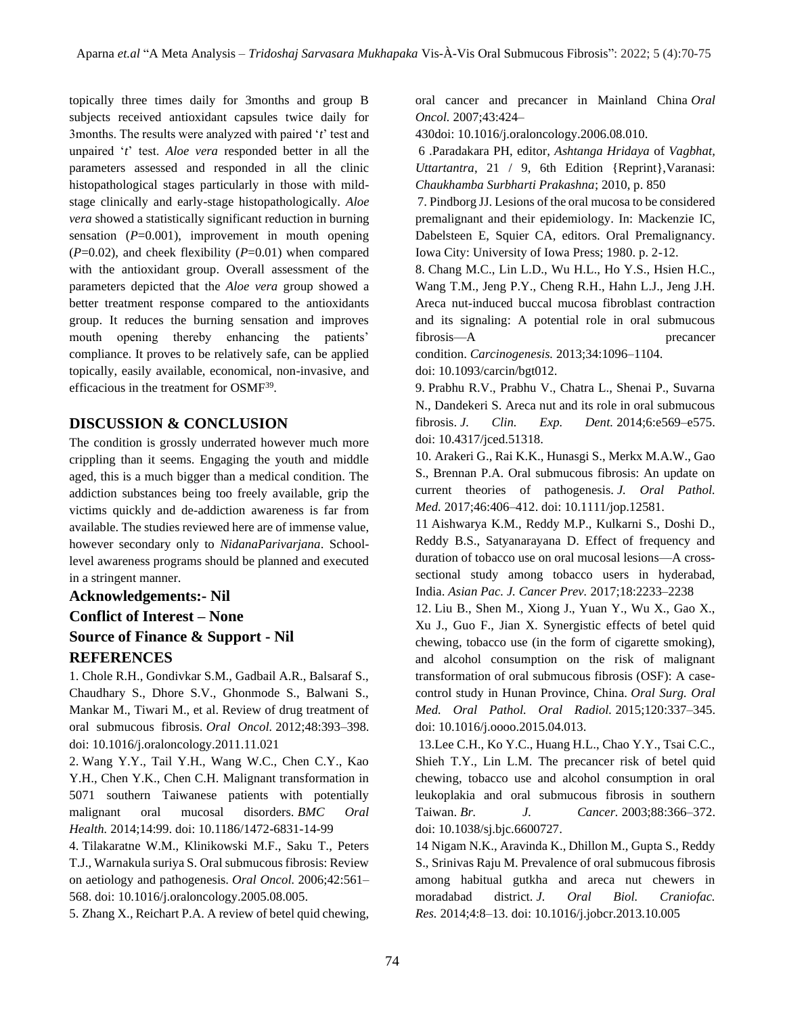topically three times daily for 3months and group B subjects received antioxidant capsules twice daily for 3months. The results were analyzed with paired '*t*' test and unpaired '*t*' test. *Aloe vera* responded better in all the parameters assessed and responded in all the clinic histopathological stages particularly in those with mildstage clinically and early-stage histopathologically. *Aloe vera* showed a statistically significant reduction in burning sensation  $(P=0.001)$ , improvement in mouth opening  $(P=0.02)$ , and cheek flexibility  $(P=0.01)$  when compared with the antioxidant group. Overall assessment of the parameters depicted that the *Aloe vera* group showed a better treatment response compared to the antioxidants group. It reduces the burning sensation and improves mouth opening thereby enhancing the patients' compliance. It proves to be relatively safe, can be applied topically, easily available, economical, non-invasive, and efficacious in the treatment for OSMF<sup>39</sup>.

# **DISCUSSION & CONCLUSION**

The condition is grossly underrated however much more crippling than it seems. Engaging the youth and middle aged, this is a much bigger than a medical condition. The addiction substances being too freely available, grip the victims quickly and de-addiction awareness is far from available. The studies reviewed here are of immense value, however secondary only to *NidanaParivarjana*. Schoollevel awareness programs should be planned and executed in a stringent manner.

# **Acknowledgements:- Nil Conflict of Interest – None Source of Finance & Support - Nil REFERENCES**

1. Chole R.H., Gondivkar S.M., Gadbail A.R., Balsaraf S., Chaudhary S., Dhore S.V., Ghonmode S., Balwani S., Mankar M., Tiwari M., et al. Review of drug treatment of oral submucous fibrosis. *Oral Oncol.* 2012;48:393–398. doi: 10.1016/j.oraloncology.2011.11.021

2. Wang Y.Y., Tail Y.H., Wang W.C., Chen C.Y., Kao Y.H., Chen Y.K., Chen C.H. Malignant transformation in 5071 southern Taiwanese patients with potentially malignant oral mucosal disorders. *BMC Oral Health.* 2014;14:99. doi: 10.1186/1472-6831-14-99

4. Tilakaratne W.M., Klinikowski M.F., Saku T., Peters T.J., Warnakula suriya S. Oral submucous fibrosis: Review on aetiology and pathogenesis. *Oral Oncol.* 2006;42:561– 568. doi: 10.1016/j.oraloncology.2005.08.005.

5. Zhang X., Reichart P.A. A review of betel quid chewing,

oral cancer and precancer in Mainland China *Oral Oncol.* 2007;43:424–

430doi: 10.1016/j.oraloncology.2006.08.010.

6 .Paradakara PH, editor, *Ashtanga Hridaya* of *Vagbhat, Uttartantra*, 21 / 9, 6th Edition {Reprint},Varanasi: *Chaukhamba Surbharti Prakashna*; 2010, p. 850

7. Pindborg JJ. Lesions of the oral mucosa to be considered premalignant and their epidemiology. In: Mackenzie IC, Dabelsteen E, Squier CA, editors. Oral Premalignancy. Iowa City: University of Iowa Press; 1980. p. 2-12.

8. Chang M.C., Lin L.D., Wu H.L., Ho Y.S., Hsien H.C., Wang T.M., Jeng P.Y., Cheng R.H., Hahn L.J., Jeng J.H. Areca nut-induced buccal mucosa fibroblast contraction and its signaling: A potential role in oral submucous fibrosis—A precancer

condition. *Carcinogenesis.* 2013;34:1096–1104. doi: 10.1093/carcin/bgt012.

9. Prabhu R.V., Prabhu V., Chatra L., Shenai P., Suvarna N., Dandekeri S. Areca nut and its role in oral submucous fibrosis. *J. Clin. Exp. Dent.* 2014;6:e569–e575. doi: 10.4317/jced.51318.

10. Arakeri G., Rai K.K., Hunasgi S., Merkx M.A.W., Gao S., Brennan P.A. Oral submucous fibrosis: An update on current theories of pathogenesis. *J. Oral Pathol. Med.* 2017;46:406–412. doi: 10.1111/jop.12581.

11 Aishwarya K.M., Reddy M.P., Kulkarni S., Doshi D., Reddy B.S., Satyanarayana D. Effect of frequency and duration of tobacco use on oral mucosal lesions—A crosssectional study among tobacco users in hyderabad, India. *Asian Pac. J. Cancer Prev.* 2017;18:2233–2238

12. Liu B., Shen M., Xiong J., Yuan Y., Wu X., Gao X., Xu J., Guo F., Jian X. Synergistic effects of betel quid chewing, tobacco use (in the form of cigarette smoking), and alcohol consumption on the risk of malignant transformation of oral submucous fibrosis (OSF): A casecontrol study in Hunan Province, China. *Oral Surg. Oral Med. Oral Pathol. Oral Radiol.* 2015;120:337–345. doi: 10.1016/j.oooo.2015.04.013.

13.Lee C.H., Ko Y.C., Huang H.L., Chao Y.Y., Tsai C.C., Shieh T.Y., Lin L.M. The precancer risk of betel quid chewing, tobacco use and alcohol consumption in oral leukoplakia and oral submucous fibrosis in southern Taiwan. *Br. J. Cancer.* 2003;88:366–372. doi: 10.1038/sj.bjc.6600727.

14 Nigam N.K., Aravinda K., Dhillon M., Gupta S., Reddy S., Srinivas Raju M. Prevalence of oral submucous fibrosis among habitual gutkha and areca nut chewers in moradabad district. *J. Oral Biol. Craniofac. Res.* 2014;4:8–13. doi: 10.1016/j.jobcr.2013.10.005